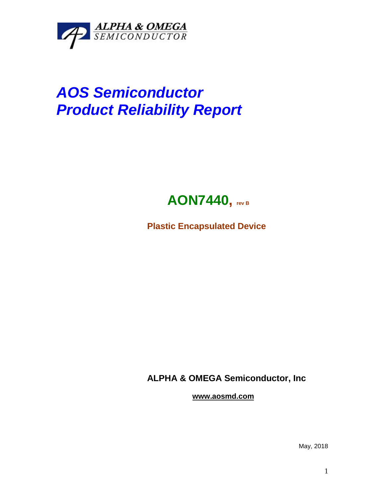

## *AOS Semiconductor Product Reliability Report*



**Plastic Encapsulated Device**

**ALPHA & OMEGA Semiconductor, Inc**

**www.aosmd.com**

May, 2018